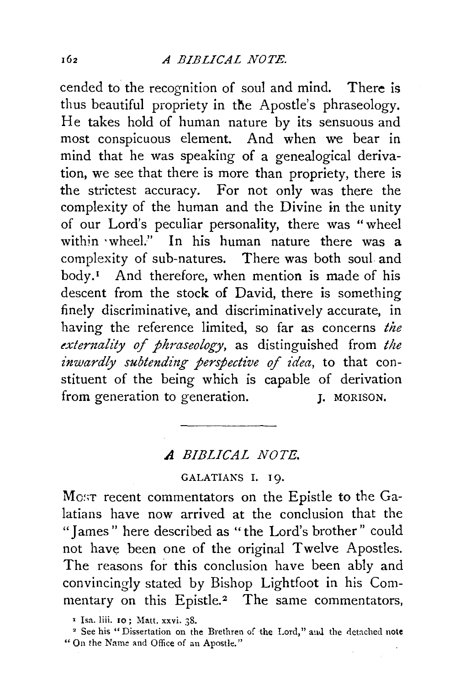cended to the recognition of soul and mind. There is thus beautiful propriety in the Apostle's phraseology. He takes hold of human nature by its sensuous and most conspicuous element. And when we bear in mind that he was speaking of a genealogical derivation, we see that there is more than propriety, there is the strictest accuracy. For not only was there the complexity of the human and the Divine in the unity of our Lord's peculiar personality, there was "wheel within ·wheel." In his human nature there was a complexity of sub-natures. There was both soul and  $body.$ <sup>I</sup> And therefore, when mention is made of his descent from the stock of David, there is something finely discriminative, and discriminatively accurate, in having the reference limited, so far as concerns *the externality of phraseology,* as distinguished from *the inwardly subtending perspective of idea,* to that constituent of the being which is capable of derivation from generation to generation. J. MORISON.

## *A BIBLICAL NOTE.*

## GALATIANS I. 19.

Most recent commentators on the Epistle to the Galatians have now arrived at the conclusion that the "James" here described as "the Lord's brother" could not have been one of the original Twelve Apostles. The reasons for this conclusion have been ably and convincingly stated by Bishop Lightfoot in his Commentary on this Epistle.<sup>2</sup> The same commentators,

<sup>&</sup>lt;sup>1</sup> Isa. liii. 10 ; Matt. xxvi. 38.<br><sup>2</sup> See his "Dissertation on the Brethren of the Lord," aud the detached note "On the Name and Office of an Apostle."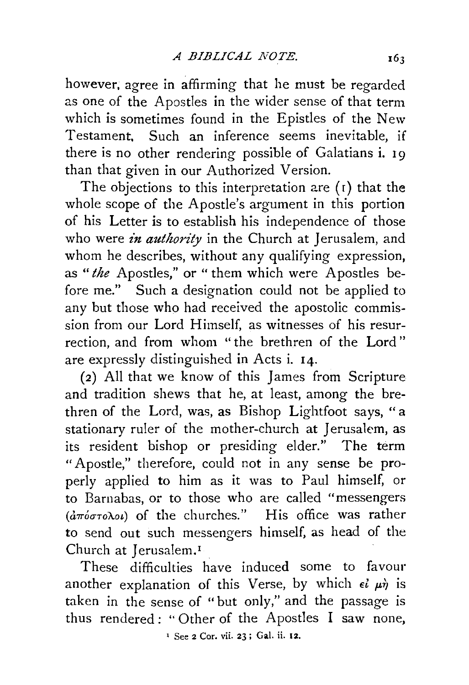however, agree in affirming that he must be regarded as one of the Apostles in the wider sense of that term which is sometimes found in the Epistles of the New Testament, Such an inference seems inevitable, if there is no other rendering possible of Galatians i. 19 than that given in our Authorized Version.

The objections to this interpretation are  $(1)$  that the whole scope of the Apostle's argument in this portion of his Letter is to establish his independence of those who were *in authority* in the Church at Jerusalem, and whom he describes, without any qualifying expression, as *"the* Apostles," or "them which were Apostles before me." Such a designation could not be applied to any but those who had received the apostolic commission from our Lord Himself, as witnesses of his resurrection, and from whom "the brethren of the Lord" are expressly distinguished in Acts i. 14.

(2) All that we know of this James from Scripture and tradition shews that he, at least, among the brethren of the Lord, was, as Bishop Lightfoot says, "a stationary ruler of the mother-church at Jerusalem, as its resident bishop or presiding elder." The term "Apostle," therefore, could not in any sense be properly applied to him as it was to Paul himself, or to Barnabas, or to those who are called "messengers  $(d\pi\acute{o}\sigma\tau o\lambda o\iota)$  of the churches." His office was rather to send out such messengers himself, as head of the Church at Jerusalem.<sup>1</sup>

These difficulties have induced some to favour another explanation of this Verse, by which  $\epsilon i \mu \dot{\eta}$  is taken in the sense of "but only," and the passage is thus rendered: "Other of the Apostles I saw none,

<sup>1</sup> See 2 Cor. vii. 23 ; Gal. ii. 12.